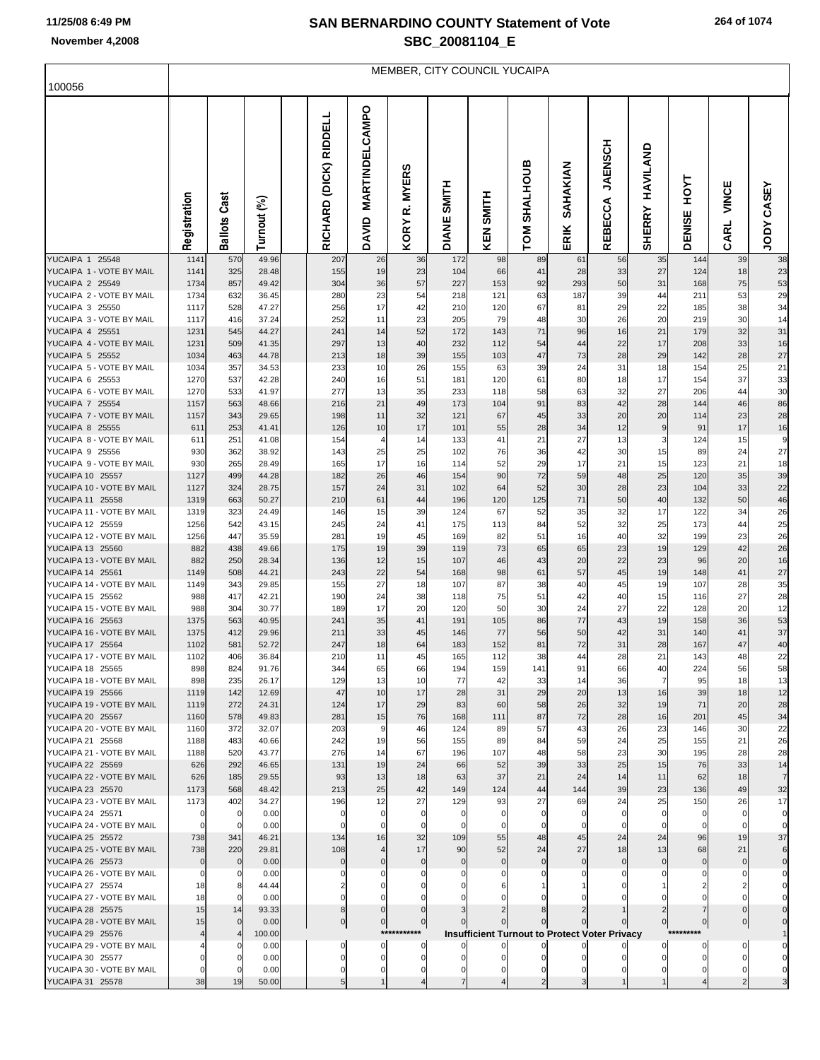| 100056                                             |              |                        |                |                                  |                               |                      |                       |                     | MEMBER, CITY COUNCIL YUCAIPA  |                   |                                                      |                           |                       |                      |                      |
|----------------------------------------------------|--------------|------------------------|----------------|----------------------------------|-------------------------------|----------------------|-----------------------|---------------------|-------------------------------|-------------------|------------------------------------------------------|---------------------------|-----------------------|----------------------|----------------------|
|                                                    | Registration | Cast<br><b>Ballots</b> | Turnout (%)    | <b>RIDDELL</b><br>RICHARD (DICK) | MARTINDELCAMPO<br>DAVID       | n<br>R. MYER<br>KORY | <b>HLINS</b><br>DIANE | <b>SMITH</b><br>KEN | <b>SHALHOUB</b><br><b>NOL</b> | SAHAKIAN<br>ERIK  | <b>JAENSCH</b><br>REBECCA                            | HAVILAND<br><b>SHERRY</b> | <b>LAOH</b><br>DENISE | <b>VINCE</b><br>CARL | CASEY<br><b>Ador</b> |
| <b>YUCAIPA 1 25548</b><br>YUCAIPA 1 - VOTE BY MAIL | 1141<br>1141 | 570<br>325             | 49.96<br>28.48 | 207<br>155                       | 26<br>19                      | 36<br>23             | 172<br>104            | 98<br>66            | 89<br>41                      | 61<br>28          | 56<br>33                                             | 35<br>27                  | 144<br>124            | 39<br>18             | 38<br>23             |
| <b>YUCAIPA 2 25549</b>                             | 1734         | 857                    | 49.42          | 304                              | 36                            | 57                   | 227                   | 153                 | 92                            | 293               | 50                                                   | 31                        | 168                   | 75                   | 53                   |
| YUCAIPA 2 - VOTE BY MAIL                           | 1734         | 632                    | 36.45          | 280                              | 23                            | 54                   | 218                   | 121                 | 63                            | 187               | 39                                                   | 44                        | 211                   | 53                   | 29                   |
| <b>YUCAIPA 3 25550</b>                             | 1117         | 528                    | 47.27          | 256                              | 17                            | 42                   | 210                   | 120                 | 67                            | 81                | 29                                                   | 22                        | 185                   | 38                   | 34                   |
| YUCAIPA 3 - VOTE BY MAIL<br><b>YUCAIPA 4 25551</b> | 1117         | 416<br>545             | 37.24          | 252                              | 11                            | 23<br>52             | 205<br>172            | 79<br>143           | 48<br>71                      | 30                | 26<br>16                                             | 20<br>21                  | 219                   | 30<br>32             | 14<br>31             |
| YUCAIPA 4 - VOTE BY MAIL                           | 1231<br>1231 | 509                    | 44.27<br>41.35 | 241<br>297                       | 14<br>13                      | 40                   | 232                   | 112                 | 54                            | 96<br>44          | 22                                                   | 17                        | 179<br>208            | 33                   | 16                   |
| <b>YUCAIPA 5 25552</b>                             | 1034         | 463                    | 44.78          | 213                              | 18                            | 39                   | 155                   | 103                 | 47                            | 73                | 28                                                   | 29                        | 142                   | 28                   | 27                   |
| YUCAIPA 5 - VOTE BY MAIL                           | 1034         | 357                    | 34.53          | 233                              | 10                            | 26                   | 155                   | 63                  | 39                            | 24                | 31                                                   | 18                        | 154                   | 25                   | 21                   |
| <b>YUCAIPA 6 25553</b>                             | 1270         | 537                    | 42.28          | 240                              | 16                            | 51                   | 181                   | 120                 | 61                            | 80                | 18                                                   | 17                        | 154                   | 37                   | 33                   |
| YUCAIPA 6 - VOTE BY MAIL<br><b>YUCAIPA 7 25554</b> | 1270         | 533                    | 41.97          | 277                              | 13                            | 35                   | 233                   | 118                 | 58                            | 63                | 32                                                   | 27                        | 206                   | 44                   | 30                   |
| YUCAIPA 7 - VOTE BY MAIL                           | 1157<br>1157 | 563<br>343             | 48.66<br>29.65 | 216<br>198                       | 21<br>11                      | 49<br>32             | 173<br>121            | 104<br>67           | 91<br>45                      | 83<br>33          | 42<br>20                                             | 28<br>20                  | 144<br>114            | 46<br>23             | 86<br>28             |
| <b>YUCAIPA 8 25555</b>                             | 611          | 253                    | 41.41          | 126                              | 10                            | 17                   | 101                   | 55                  | 28                            | 34                | 12                                                   | 9                         | 91                    | 17                   | 16                   |
| YUCAIPA 8 - VOTE BY MAIL                           | 611          | 251                    | 41.08          | 154                              | $\overline{4}$                | 14                   | 133                   | 41                  | 21                            | 27                | 13                                                   | 3                         | 124                   | 15                   | 9                    |
| YUCAIPA 9 25556                                    | 930          | 362                    | 38.92          | 143                              | 25                            | 25                   | 102                   | 76                  | 36                            | 42                | 30                                                   | 15                        | 89                    | 24                   | 27                   |
| YUCAIPA 9 - VOTE BY MAIL                           | 930          | 265                    | 28.49          | 165                              | 17                            | 16                   | 114                   | 52                  | 29                            | 17                | 21                                                   | 15                        | 123                   | 21                   | 18                   |
| YUCAIPA 10 25557<br>YUCAIPA 10 - VOTE BY MAIL      | 1127<br>1127 | 499<br>324             | 44.28<br>28.75 | 182<br>157                       | 26<br>24                      | 46<br>31             | 154<br>102            | 90<br>64            | 72<br>52                      | 59<br>30          | 48<br>28                                             | 25<br>23                  | 120<br>104            | 35<br>33             | 39<br>22             |
| YUCAIPA 11 25558                                   | 1319         | 663                    | 50.27          | 210                              | 61                            | 44                   | 196                   | 120                 | 125                           | 71                | 50                                                   | 40                        | 132                   | 50                   | 46                   |
| YUCAIPA 11 - VOTE BY MAIL                          | 1319         | 323                    | 24.49          | 146                              | 15                            | 39                   | 124                   | 67                  | 52                            | 35                | 32                                                   | 17                        | 122                   | 34                   | 26                   |
| YUCAIPA 12 25559                                   | 1256         | 542                    | 43.15          | 245                              | 24                            | 41                   | 175                   | 113                 | 84                            | 52                | 32                                                   | 25                        | 173                   | 44                   | 25                   |
| YUCAIPA 12 - VOTE BY MAIL                          | 1256         | 447                    | 35.59          | 281                              | 19                            | 45                   | 169                   | 82                  | 51                            | 16                | 40                                                   | 32                        | 199                   | 23                   | 26                   |
| YUCAIPA 13 25560<br>YUCAIPA 13 - VOTE BY MAIL      | 882<br>882   | 438<br>250             | 49.66<br>28.34 | 175<br>136                       | 19<br>12                      | 39<br>15             | 119<br>107            | 73<br>46            | 65<br>43                      | 65<br>20          | 23<br>22                                             | 19<br>23                  | 129<br>96             | 42<br>20             | 26<br>16             |
| YUCAIPA 14 25561                                   | 1149         | 508                    | 44.21          | 243                              | 22                            | 54                   | 168                   | 98                  | 61                            | 57                | 45                                                   | 19                        | 148                   | 41                   | 27                   |
| YUCAIPA 14 - VOTE BY MAIL                          | 1149         | 343                    | 29.85          | 155                              | 27                            | 18                   | 107                   | 87                  | 38                            | 40                | 45                                                   | 19                        | 107                   | 28                   | 35                   |
| YUCAIPA 15 25562                                   | 988          | 417                    | 42.21          | 190                              | 24                            | 38                   | 118                   | 75                  | 51                            | 42                | 40                                                   | 15                        | 116                   | 27                   | 28                   |
| YUCAIPA 15 - VOTE BY MAIL                          | 988          | 304                    | 30.77          | 189                              | 17                            | 20                   | 120                   | 50                  | 30                            | 24                | 27                                                   | 22                        | 128                   | 20                   | 12                   |
| YUCAIPA 16 25563<br>YUCAIPA 16 - VOTE BY MAIL      | 1375<br>1375 | 563<br>412             | 40.95<br>29.96 | 241<br>211                       | 35<br>33                      | 41<br>45             | 191<br>146            | 105<br>77           | 86<br>56                      | 77<br>50          | 43<br>42                                             | 19<br>31                  | 158<br>140            | 36<br>41             | 53<br>37             |
| YUCAIPA 17 25564                                   | 1102         | 581                    | 52.72          | 247                              | 18                            | 64                   | 183                   | 152                 | 81                            | 72                | 31                                                   | 28                        | 167                   | 47                   | 40                   |
| YUCAIPA 17 - VOTE BY MAIL                          | 1102         | 406                    | 36.84          | 210                              | 11                            | 45                   | 165                   | 112                 | 38                            | 44                | 28                                                   | 21                        | 143                   | 48                   | 22                   |
| YUCAIPA 18 25565                                   | 898          | 824                    | 91.76          | 344                              | 65                            | 66                   | 194                   | 159                 | 141                           | 91                | 66                                                   | 40                        | 224                   | 56                   | 58                   |
| YUCAIPA 18 - VOTE BY MAIL<br>YUCAIPA 19 25566      | 898          | 235                    | 26.17          | 129                              | 13<br>10                      | 10<br>17             | 77                    | 42<br>31            | 33                            | 14                | 36                                                   | $\overline{7}$            | 95                    | 18                   | 13                   |
| YUCAIPA 19 - VOTE BY MAIL                          | 1119<br>1119 | 142<br>272             | 12.69<br>24.31 | 47<br>124                        | 17                            | 29                   | 28<br>83              | 60                  | 29<br>58                      | 20<br>26          | 13<br>32                                             | 16<br>19                  | 39<br>71              | 18<br>20             | 12<br>28             |
| YUCAIPA 20 25567                                   | 1160         | 578                    | 49.83          | 281                              | 15                            | 76                   | 168                   | 111                 | 87                            | 72                | 28                                                   | 16                        | 201                   | 45                   | 34                   |
| YUCAIPA 20 - VOTE BY MAIL                          | 1160         | 372                    | 32.07          | 203                              | 9                             | 46                   | 124                   | 89                  | 57                            | 43                | 26                                                   | 23                        | 146                   | 30                   | 22                   |
| YUCAIPA 21 25568                                   | 1188         | 483                    | 40.66          | 242                              | 19                            | 56                   | 155                   | 89                  | 84                            | 59                | 24                                                   | 25                        | 155                   | 21                   | 26                   |
| YUCAIPA 21 - VOTE BY MAIL<br>YUCAIPA 22 25569      | 1188<br>626  | 520<br>292             | 43.77<br>46.65 | 276<br>131                       | 14<br>19                      | 67<br>24             | 196<br>66             | 107<br>52           | 48<br>39                      | 58<br>33          | 23<br>25                                             | 30<br>15                  | 195<br>76             | 28<br>33             | 28<br>14             |
| YUCAIPA 22 - VOTE BY MAIL                          | 626          | 185                    | 29.55          | 93                               | 13                            | 18                   | 63                    | 37                  | 21                            | 24                | 14                                                   | 11                        | 62                    | 18                   | 7                    |
| YUCAIPA 23 25570                                   | 1173         | 568                    | 48.42          | 213                              | 25                            | 42                   | 149                   | 124                 | 44                            | 144               | 39                                                   | 23                        | 136                   | 49                   | 32                   |
| YUCAIPA 23 - VOTE BY MAIL                          | 1173         | 402                    | 34.27          | 196                              | 12                            | 27                   | 129                   | 93                  | 27                            | 69                | 24                                                   | 25                        | 150                   | 26                   | 17                   |
| YUCAIPA 24 25571                                   |              | 0                      | 0.00           | 0                                | $\mathbf 0$                   | 0                    | 0                     | 0                   | $\Omega$                      | $\mathbf{0}$      | 0                                                    | 0                         | 0                     |                      | 0                    |
| YUCAIPA 24 - VOTE BY MAIL<br>YUCAIPA 25 25572      | 738          | $\Omega$<br>341        | 0.00<br>46.21  | $\Omega$<br>134                  | $\mathbf 0$<br>16             | 0<br>32              | $\Omega$<br>109       | $\Omega$<br>55      | 48                            | $\mathbf 0$<br>45 | $\Omega$<br>24                                       | 24                        | 0<br>96               | $\Omega$<br>19       | 0<br>37              |
| YUCAIPA 25 - VOTE BY MAIL                          | 738          | 220                    | 29.81          | 108                              | 4                             | 17                   | 90                    | 52                  | 24                            | 27                | 18                                                   | 13                        | 68                    | 21                   | 6                    |
| YUCAIPA 26 25573                                   |              | 0                      | 0.00           | $\mathbf 0$                      | $\overline{0}$                | $\mathbf 0$          | $\mathbf 0$           | $\mathbf 0$         | $\overline{0}$                | $\overline{0}$    | 0                                                    | $\mathbf 0$               | 0                     | $\mathbf 0$          | $\Omega$             |
| YUCAIPA 26 - VOTE BY MAIL                          |              | 0                      | 0.00           |                                  | $\mathbf 0$                   |                      |                       |                     |                               |                   |                                                      |                           |                       |                      |                      |
| YUCAIPA 27 25574                                   | 18           | 8                      | 44.44          |                                  | 0                             |                      |                       |                     |                               |                   |                                                      |                           |                       |                      |                      |
| YUCAIPA 27 - VOTE BY MAIL<br>YUCAIPA 28 25575      | 18<br>15     | 0<br>14                | 0.00<br>93.33  | 8                                | $\mathbf 0$<br>$\overline{0}$ | $\mathbf 0$          |                       |                     |                               |                   |                                                      |                           | $\mathbf{7}$          | $\mathbf 0$          |                      |
| YUCAIPA 28 - VOTE BY MAIL                          | 15           | 0                      | 0.00           | 이                                | $\overline{0}$                | $\overline{0}$       |                       | $\Omega$            | 0                             | 0                 |                                                      | 이                         | $\overline{0}$        | $\overline{0}$       | 0                    |
| YUCAIPA 29 25576                                   |              | 4                      | 100.00         |                                  |                               | ***********          |                       |                     |                               |                   | <b>Insufficient Turnout to Protect Voter Privacy</b> |                           | *********             |                      |                      |
| YUCAIPA 29 - VOTE BY MAIL                          |              |                        | 0.00           | 0                                | $\overline{0}$                |                      |                       |                     |                               |                   |                                                      |                           |                       | 0                    |                      |
| YUCAIPA 30 25577                                   |              |                        | 0.00           | 0                                | $\overline{0}$                | 0                    |                       |                     |                               |                   |                                                      |                           |                       |                      |                      |
| YUCAIPA 30 - VOTE BY MAIL<br>YUCAIPA 31 25578      | 38           | 19                     | 0.00<br>50.00  | 0                                | $\overline{0}$                | 0                    | 0<br>$\overline{7}$   | 0                   |                               | 0                 |                                                      |                           | 0                     | 0                    | 0                    |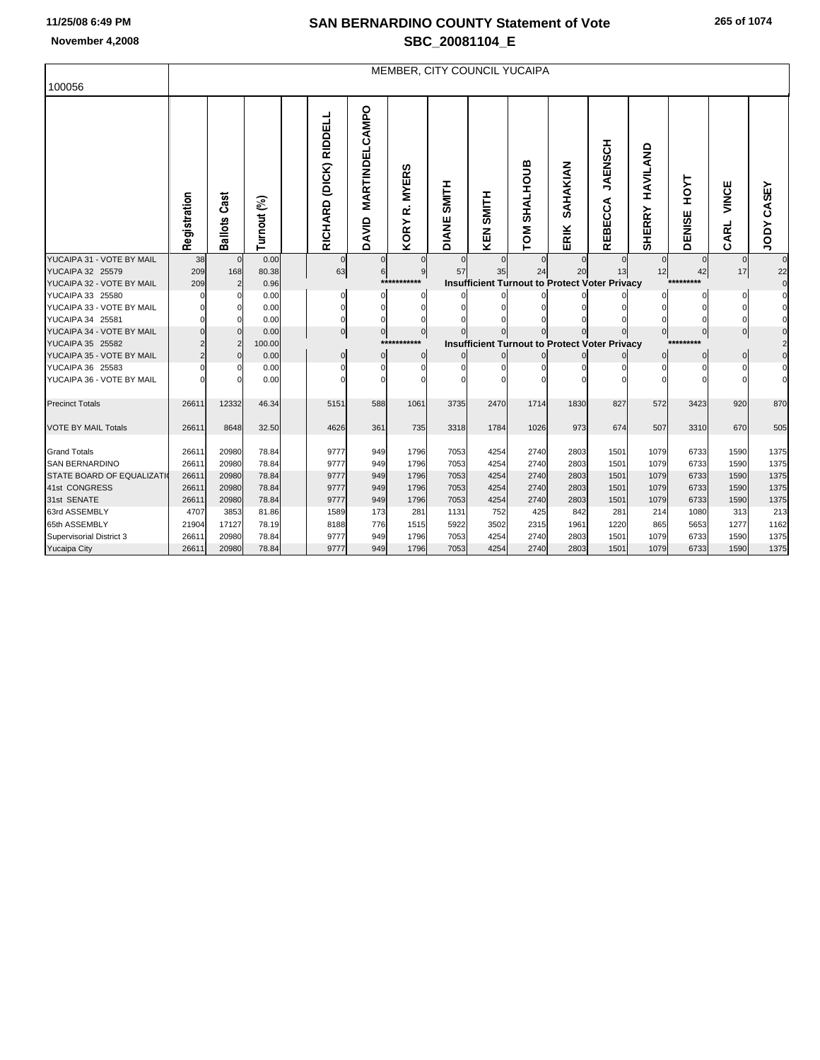|                                               |                |                       |               |                        |                         | MEMBER, CITY COUNCIL YUCAIPA |                       |                |                                                      |                  |                           |                           |                          |                      |                         |
|-----------------------------------------------|----------------|-----------------------|---------------|------------------------|-------------------------|------------------------------|-----------------------|----------------|------------------------------------------------------|------------------|---------------------------|---------------------------|--------------------------|----------------------|-------------------------|
| 100056                                        |                |                       |               |                        |                         |                              |                       |                |                                                      |                  |                           |                           |                          |                      |                         |
|                                               | Registration   | <b>Ballots Cast</b>   | Turnout (%)   | RICHARD (DICK) RIDDELL | MARTINDELCAMPO<br>DAVID | <b>R. MYERS</b><br>KORY      | <b>SMITH</b><br>DIANE | HIMS<br>KEN    | SHALHOUB<br>MO.                                      | SAHAKIAN<br>ERIK | <b>JAENSCH</b><br>REBECCA | HAVILAND<br><b>SHERRY</b> | <b>L</b><br>DA<br>DENISE | <b>VINCE</b><br>CARL | CASEY<br><b>Ador</b>    |
| YUCAIPA 31 - VOTE BY MAIL<br>YUCAIPA 32 25579 | 38<br>209      | $\overline{0}$<br>168 | 0.00<br>80.38 | $\overline{0}$<br>63   | $6 \mid$                | $\circ$<br>9                 | $\Omega$<br>57        | $\Omega$<br>35 | $\Omega$<br>24                                       | $\Omega$<br>20   | $\Omega$<br>13            | 12                        | $\overline{0}$<br>42     | $\overline{0}$<br>17 | $\mathbf 0$<br>22       |
| YUCAIPA 32 - VOTE BY MAIL                     | 209            | $\overline{2}$        | 0.96          |                        |                         | ***********                  |                       |                | <b>Insufficient Turnout to Protect Voter Privacy</b> |                  |                           |                           |                          |                      | $\pmb{0}$               |
| YUCAIPA 33 25580                              |                | $\Omega$              | 0.00          | $\mathbf{0}$           | O                       | 0                            |                       |                |                                                      |                  |                           |                           | $\Omega$                 | $\Omega$             | 0                       |
| YUCAIPA 33 - VOTE BY MAIL                     |                | $\Omega$              | 0.00          | $\mathbf{0}$           | $\Omega$                | $\Omega$                     |                       |                |                                                      |                  |                           |                           |                          |                      |                         |
| YUCAIPA 34 25581                              |                | $\Omega$              | 0.00          | $\mathbf{0}$           | $\Omega$                | $\Omega$                     |                       |                |                                                      |                  |                           |                           |                          |                      | 0                       |
| YUCAIPA 34 - VOTE BY MAIL                     |                | $\Omega$              | 0.00          | $\overline{0}$         | $\pmb{0}$               | $\overline{0}$               |                       |                | $\Omega$                                             |                  | $\overline{0}$            |                           | $\mathbf 0$              | $\mathbf 0$          | $\mathbf 0$             |
| YUCAIPA 35 25582                              |                | $\overline{c}$        | 100.00        |                        |                         | ***********                  |                       |                | <b>Insufficient Turnout to Protect Voter Privacy</b> |                  |                           |                           | *********                |                      | $\overline{\mathbf{c}}$ |
| YUCAIPA 35 - VOTE BY MAIL                     | $\mathfrak{p}$ | $\Omega$              | 0.00          | $\mathbf 0$            |                         | $\mathbf 0$                  |                       |                |                                                      |                  |                           |                           | $\overline{0}$           | $\mathbf{0}$         | $\mathbf 0$             |
| YUCAIPA 36 25583                              |                | $\Omega$              | 0.00          | 0                      | O                       | $\Omega$                     |                       |                |                                                      |                  |                           |                           |                          |                      | 0                       |
| YUCAIPA 36 - VOTE BY MAIL                     |                | $\Omega$              | 0.00          | $\Omega$               | $\Omega$                | $\Omega$                     | $\mathcal{C}$         | n              |                                                      |                  |                           |                           |                          |                      | $\Omega$                |
| <b>Precinct Totals</b>                        | 26611          | 12332                 | 46.34         | 5151                   | 588                     | 1061                         | 3735                  | 2470           | 1714                                                 | 1830             | 827                       | 572                       | 3423                     | 920                  | 870                     |
| <b>VOTE BY MAIL Totals</b>                    | 26611          | 8648                  | 32.50         | 4626                   | 361                     | 735                          | 3318                  | 1784           | 1026                                                 | 973              | 674                       | 507                       | 3310                     | 670                  | 505                     |
| <b>Grand Totals</b>                           | 26611          | 20980                 | 78.84         | 9777                   | 949                     | 1796                         | 7053                  | 4254           | 2740                                                 | 2803             | 1501                      | 1079                      | 6733                     | 1590                 | 1375                    |
| <b>SAN BERNARDINO</b>                         | 26611          | 20980                 | 78.84         | 9777                   | 949                     | 1796                         | 7053                  | 4254           | 2740                                                 | 2803             | 1501                      | 1079                      | 6733                     | 1590                 | 1375                    |
| STATE BOARD OF EQUALIZATI                     | 26611          | 20980                 | 78.84         | 9777                   | 949                     | 1796                         | 7053                  | 4254           | 2740                                                 | 2803             | 1501                      | 1079                      | 6733                     | 1590                 | 1375                    |
| 41st CONGRESS                                 | 26611          | 20980                 | 78.84         | 9777                   | 949                     | 1796                         | 7053                  | 4254           | 2740                                                 | 2803             | 1501                      | 1079                      | 6733                     | 1590                 | 1375                    |
| 31st SENATE                                   | 26611          | 20980                 | 78.84         | 9777                   | 949                     | 1796                         | 7053                  | 4254           | 2740                                                 | 2803             | 1501                      | 1079                      | 6733                     | 1590                 | 1375                    |
| 63rd ASSEMBLY                                 | 4707           | 3853                  | 81.86         | 1589                   | 173                     | 281                          | 1131                  | 752            | 425                                                  | 842              | 281                       | 214                       | 1080                     | 313                  | 213                     |
| 65th ASSEMBLY                                 | 21904          | 17127                 | 78.19         | 8188                   | 776                     | 1515                         | 5922                  | 3502           | 2315                                                 | 1961             | 1220                      | 865                       | 5653                     | 1277                 | 1162                    |
| Supervisorial District 3                      | 26611          | 20980                 | 78.84         | 9777                   | 949                     | 1796                         | 7053                  | 4254           | 2740                                                 | 2803             | 1501                      | 1079                      | 6733                     | 1590                 | 1375                    |
| <b>Yucaipa City</b>                           | 26611          | 20980                 | 78.84         | 9777                   | 949                     | 1796                         | 7053                  | 4254           | 2740                                                 | 2803             | 1501                      | 1079                      | 6733                     | 1590                 | 1375                    |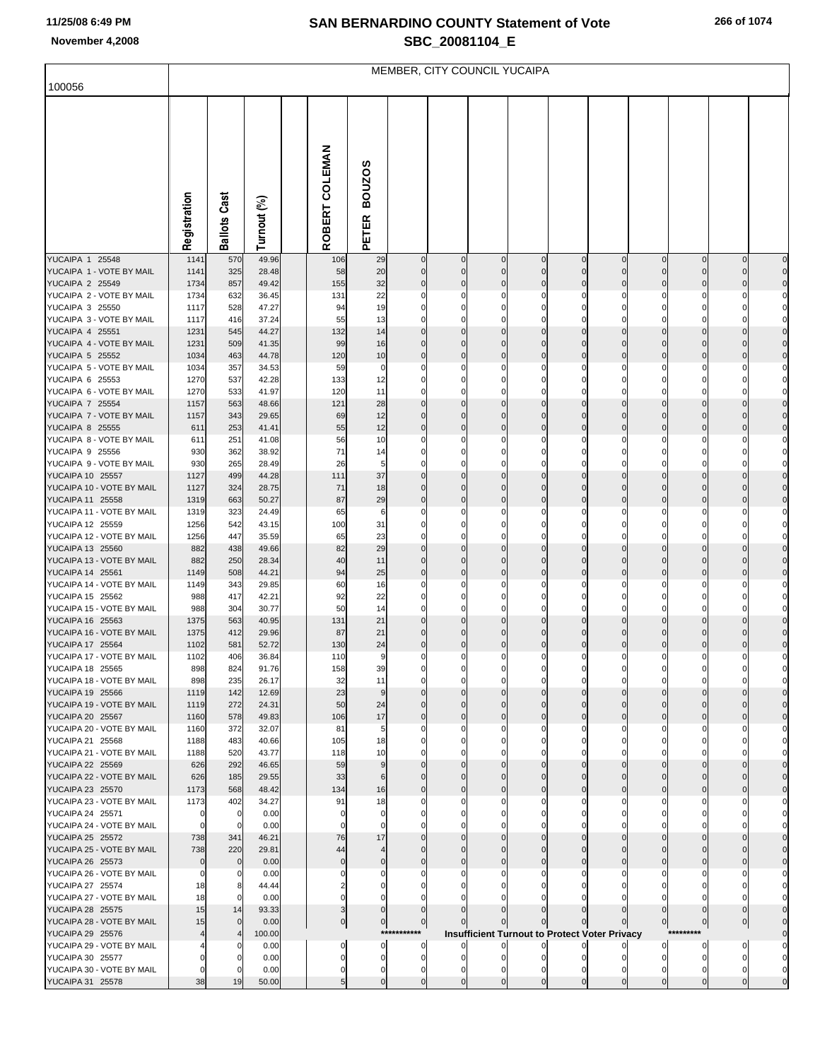|  | 266 of 1074 |  |
|--|-------------|--|
|--|-------------|--|

|                                                      | MEMBER, CITY COUNCIL YUCAIPA |                        |                |  |                   |                        |                            |                      |               |                  |                         |                                                      |                             |                         |                         |                            |
|------------------------------------------------------|------------------------------|------------------------|----------------|--|-------------------|------------------------|----------------------------|----------------------|---------------|------------------|-------------------------|------------------------------------------------------|-----------------------------|-------------------------|-------------------------|----------------------------|
| 100056                                               |                              |                        |                |  |                   |                        |                            |                      |               |                  |                         |                                                      |                             |                         |                         |                            |
|                                                      | Registration                 | Cast<br><b>Ballots</b> | E<br>Turnout   |  | COLEMAN<br>ROBERT | <b>BOUZOS</b><br>PETER |                            |                      |               |                  |                         |                                                      |                             |                         |                         |                            |
| <b>YUCAIPA 1 25548</b>                               | 1141                         | 570                    | 49.96          |  | 106               | 29                     | $\overline{0}$             | $\mathbf 0$          | 0             | $\mathbf 0$      | $\mathbf 0$             | $\mathbf 0$                                          | $\overline{0}$              | $\mathbf 0$             | 0                       |                            |
| YUCAIPA 1 - VOTE BY MAIL<br><b>YUCAIPA 2 25549</b>   | 1141<br>1734                 | 325<br>857             | 28.48<br>49.42 |  | 58<br>155         | 20<br>32               | 0<br>$\overline{0}$        | $\Omega$<br>0        | $\Omega$<br>0 | 0<br>$\mathbf 0$ | $\Omega$<br>$\pmb{0}$   | $\Omega$<br>$\pmb{0}$                                | $\Omega$<br>$\mathbf 0$     | $\Omega$<br>$\mathbf 0$ | $\mathbf 0$<br>0        | $\pmb{0}$<br>$\pmb{0}$     |
| YUCAIPA 2 - VOTE BY MAIL                             | 1734                         | 632                    | 36.45          |  | 131               | 22                     | 0                          | 0                    | 0             | 0                | 0                       | 0                                                    | $\Omega$                    | 0                       | 0                       |                            |
| YUCAIPA 3 25550                                      | 1117                         | 528                    | 47.27          |  | 94                | 19                     | 0                          | 0                    | 0             | 0                | 0                       | 0                                                    | 0                           | 0                       | 0                       | 0                          |
| YUCAIPA 3 - VOTE BY MAIL<br><b>YUCAIPA 4 25551</b>   | 1117<br>1231                 | 416<br>545             | 37.24<br>44.27 |  | 55<br>132         | 13<br>14               | $\Omega$<br>0              | $\Omega$<br>$\Omega$ | 0<br>$\Omega$ | 0<br>0           | $\Omega$<br>$\Omega$    | $\Omega$<br>$\Omega$                                 | $\Omega$<br>$\Omega$        | $\Omega$<br>$\Omega$    | $\Omega$<br>$\mathbf 0$ | $\Omega$<br>$\mathbf 0$    |
| YUCAIPA 4 - VOTE BY MAIL                             | 1231                         | 509                    | 41.35          |  | 99                | 16                     | $\mathbf 0$                | $\Omega$             | $\Omega$      | $\Omega$         | $\Omega$                | $\Omega$                                             | $\Omega$                    | $\Omega$                | $\mathbf 0$             | $\mathbf 0$                |
| <b>YUCAIPA 5 25552</b>                               | 1034                         | 463                    | 44.78          |  | 120               | 10                     | $\mathbf 0$                | 0                    | $\mathbf 0$   | $\mathbf 0$      | $\mathbf 0$             | $\mathbf 0$                                          | $\mathbf 0$                 | $\mathbf 0$             | 0                       | $\mathbf 0$                |
| YUCAIPA 5 - VOTE BY MAIL<br>YUCAIPA 6 25553          | 1034<br>1270                 | 357<br>537             | 34.53<br>42.28 |  | 59<br>133         | 0<br>12                | 0<br>0                     | 0<br>0               | 0<br>0        | 0<br>0           | 0<br>0                  | 0<br>$\Omega$                                        | 0<br>0                      | 0<br>0                  | 0<br>0                  | 0                          |
| YUCAIPA 6 - VOTE BY MAIL                             | 1270                         | 533                    | 41.97          |  | 120               | 11                     | 0                          | $\Omega$             | 0             | 0                | $\Omega$                | $\Omega$                                             | $\Omega$                    | $\Omega$                | $\Omega$                | 0                          |
| <b>YUCAIPA 7 25554</b>                               | 1157                         | 563                    | 48.66          |  | 121               | 28                     | $\mathbf 0$                | $\mathbf 0$          | $\Omega$      | $\mathbf 0$      | $\mathbf{0}$            | $\mathbf 0$                                          | $\Omega$                    | $\Omega$                | $\mathbf 0$             | 0                          |
| YUCAIPA 7 - VOTE BY MAIL<br><b>YUCAIPA 8 25555</b>   | 1157<br>611                  | 343<br>253             | 29.65<br>41.41 |  | 69<br>55          | 12<br>12               | 0<br>$\mathbf 0$           | $\Omega$<br>0        | $\Omega$<br>0 | 0<br>$\mathbf 0$ | $\Omega$<br>$\mathbf 0$ | $\Omega$<br>$\mathbf 0$                              | $\Omega$<br>$\mathbf 0$     | $\Omega$<br>$\mathbf 0$ | $\mathbf 0$<br>$\bf{0}$ | $\mathbf 0$<br>$\mathbf 0$ |
| YUCAIPA 8 - VOTE BY MAIL                             | 611                          | 251                    | 41.08          |  | 56                | 10                     | 0                          | 0                    | 0             | 0                | 0                       | 0                                                    | 0                           | 0                       | 0                       |                            |
| YUCAIPA 9 25556                                      | 930                          | 362                    | 38.92          |  | 71                | 14                     | 0                          | 0                    | 0             | 0                | 0                       | 0                                                    | 0                           | 0                       | 0                       | 0                          |
| YUCAIPA 9 - VOTE BY MAIL<br>YUCAIPA 10 25557         | 930<br>1127                  | 265<br>499             | 28.49<br>44.28 |  | 26<br>111         | 5<br>37                | $\Omega$<br>0              | $\Omega$<br>$\Omega$ | 0<br>$\Omega$ | 0<br>0           | $\Omega$<br>$\Omega$    | $\Omega$<br>$\Omega$                                 | $\Omega$<br>$\Omega$        | $\Omega$<br>$\Omega$    | $\Omega$<br>$\mathbf 0$ | $\Omega$<br>$\mathbf 0$    |
| YUCAIPA 10 - VOTE BY MAIL                            | 1127                         | 324                    | 28.75          |  | 71                | 18                     | $\mathbf 0$                | $\Omega$             | $\Omega$      | $\Omega$         | $\Omega$                | $\Omega$                                             | $\Omega$                    | $\Omega$                | $\mathbf 0$             | $\mathbf 0$                |
| YUCAIPA 11 25558                                     | 1319                         | 663                    | 50.27          |  | 87                | 29                     | $\mathbf 0$                | 0                    | 0             | $\mathbf 0$      | $\mathbf 0$             | $\mathbf 0$                                          | $\mathbf 0$                 | $\mathbf 0$             | 0                       | $\mathbf 0$                |
| YUCAIPA 11 - VOTE BY MAIL<br>YUCAIPA 12 25559        | 1319<br>1256                 | 323<br>542             | 24.49<br>43.15 |  | 65<br>100         | 6<br>31                | 0<br>0                     | 0<br>0               | 0<br>0        | 0<br>0           | 0<br>0                  | 0<br>$\Omega$                                        | 0<br>0                      | 0<br>0                  | 0<br>0                  | 0                          |
| YUCAIPA 12 - VOTE BY MAIL                            | 1256                         | 447                    | 35.59          |  | 65                | 23                     | 0                          | $\Omega$             | 0             | $\Omega$         | $\Omega$                | $\Omega$                                             | $\Omega$                    | $\Omega$                | $\Omega$                | 0                          |
| YUCAIPA 13 25560                                     | 882                          | 438                    | 49.66          |  | 82                | 29                     | $\mathbf 0$                | $\Omega$             | $\Omega$      | $\mathbf 0$      | 0                       | $\Omega$                                             | $\Omega$                    | $\Omega$                | $\mathbf 0$             | 0                          |
| YUCAIPA 13 - VOTE BY MAIL<br>YUCAIPA 14 25561        | 882<br>1149                  | 250<br>508             | 28.34<br>44.21 |  | 40<br>94          | 11<br>25               | 0<br>$\mathbf 0$           | $\Omega$<br>0        | $\Omega$<br>0 | 0<br>$\mathbf 0$ | $\Omega$<br>$\mathbf 0$ | $\Omega$<br>$\mathbf 0$                              | $\Omega$<br>$\mathbf 0$     | $\Omega$<br>$\mathbf 0$ | $\mathbf 0$<br>$\bf{0}$ | $\mathbf 0$<br>$\mathbf 0$ |
| YUCAIPA 14 - VOTE BY MAIL                            | 1149                         | 343                    | 29.85          |  | 60                | 16                     | 0                          | 0                    | 0             | 0                | 0                       | 0                                                    | 0                           | 0                       | 0                       |                            |
| YUCAIPA 15 25562<br>YUCAIPA 15 - VOTE BY MAIL        | 988                          | 417                    | 42.21          |  | 92                | 22                     | 0<br>$\Omega$              | 0<br>$\Omega$        | 0<br>$\Omega$ | 0                | 0<br>$\Omega$           | 0<br>$\Omega$                                        | 0<br>$\Omega$               | 0<br>$\Omega$           | 0<br>$\Omega$           | 0                          |
| YUCAIPA 16 25563                                     | 988<br>1375                  | 304<br>563             | 30.77<br>40.95 |  | 50<br>131         | 14<br>21               | $\Omega$                   | $\Omega$             | $\Omega$      | 0<br>0           | $\Omega$                | $\Omega$                                             | $\Omega$                    | $\Omega$                | $\mathbf 0$             | 0<br>0                     |
| YUCAIPA 16 - VOTE BY MAIL                            | 1375                         | 412                    | 29.96          |  | 87                | 21                     | $\Omega$                   | $\Omega$             | 0             | 0                | $\Omega$                | $\Omega$                                             | $\Omega$                    | $\Omega$                | $\Omega$                | $\mathbf 0$                |
| YUCAIPA 17 25564                                     | 1102<br>1102                 | 581                    | 52.72          |  | 130<br>110        | 24<br>9                | $\overline{0}$<br>$\Omega$ | 0<br>0               | 0<br>0        | $\mathbf 0$<br>0 | $\mathbf 0$<br>$\Omega$ | $\mathbf 0$<br>$\Omega$                              | $\mathbf 0$<br>$\mathbf{0}$ | 0<br>0                  | 0<br>0                  | $\mathbf 0$<br>$\mathbf 0$ |
| YUCAIPA 17 - VOTE BY MAIL<br>YUCAIPA 18 25565        | 898                          | 406<br>824             | 36.84<br>91.76 |  | 158               | 39                     | 0                          |                      |               |                  |                         |                                                      |                             |                         |                         |                            |
| YUCAIPA 18 - VOTE BY MAIL                            | 898                          | 235                    | 26.17          |  | 32                | 11                     | 0                          | 0                    | n             | n                | U                       | O                                                    | O                           |                         |                         |                            |
| YUCAIPA 19 25566<br>YUCAIPA 19 - VOTE BY MAIL        | 1119<br>1119                 | 142<br>272             | 12.69<br>24.31 |  | 23<br>50          | 9<br>24                | $\Omega$<br>$\Omega$       | $\Omega$<br>$\Omega$ | 0<br>$\Omega$ | 0<br>$\Omega$    | $\Omega$<br>$\Omega$    | $\Omega$<br>$\Omega$                                 | $\Omega$<br>$\Omega$        | $\Omega$<br>$\Omega$    | $\Omega$<br>$\Omega$    | 0                          |
| <b>YUCAIPA 20 25567</b>                              | 1160                         | 578                    | 49.83          |  | 106               | 17                     | $\Omega$                   | $\mathbf 0$          | $\Omega$      | $\Omega$         | $\Omega$                | $\Omega$                                             | $\Omega$                    | $\Omega$                | $\mathbf 0$             |                            |
| YUCAIPA 20 - VOTE BY MAIL                            | 1160                         | 372                    | 32.07          |  | 81                | 5                      | 0                          | 0                    | 0             | 0                | 0                       | 0                                                    | 0                           | 0                       | 0                       |                            |
| YUCAIPA 21 25568<br>YUCAIPA 21 - VOTE BY MAIL        | 1188<br>1188                 | 483<br>520             | 40.66<br>43.77 |  | 105<br>118        | 18<br>10               | $\Omega$<br>0              | 0                    |               | 0                |                         | 0                                                    |                             |                         |                         |                            |
| YUCAIPA 22 25569                                     | 626                          | 292                    | 46.65          |  | 59                | 9                      | $\Omega$                   | 0                    |               | 0                | $\Omega$                | $\Omega$                                             | $\Omega$                    | $\Omega$                | $\Omega$                |                            |
| YUCAIPA 22 - VOTE BY MAIL                            | 626                          | 185                    | 29.55          |  | 33                | 6                      | $\Omega$                   | 0                    | U             |                  | $\Omega$                | $\Omega$                                             | $\Omega$                    | $\Omega$                | $\Omega$                |                            |
| YUCAIPA 23 25570<br>YUCAIPA 23 - VOTE BY MAIL        | 1173<br>1173                 | 568<br>402             | 48.42<br>34.27 |  | 134<br>91         | 16<br>18               | $\Omega$<br>0              | $\mathbf 0$<br>0     | $\Omega$<br>0 | 0<br>n           | $\Omega$                | $\Omega$<br>0                                        | $\Omega$                    | $\mathbf 0$             | $\mathbf 0$             |                            |
| YUCAIPA 24 25571                                     |                              | 0                      | 0.00           |  | 0                 | $\mathbf{0}$           | 0                          | 0                    |               |                  |                         |                                                      |                             |                         |                         |                            |
| YUCAIPA 24 - VOTE BY MAIL                            |                              | $\Omega$               | 0.00           |  |                   | $\mathbf 0$            | O                          |                      |               |                  |                         |                                                      |                             |                         |                         |                            |
| <b>YUCAIPA 25 25572</b><br>YUCAIPA 25 - VOTE BY MAIL | 738<br>738                   | 341<br>220             | 46.21<br>29.81 |  | 76<br>44          | 17<br>4                | $\Omega$<br>$\Omega$       | 0<br>$\Omega$        | U             | U                | $\Omega$                | $\Omega$<br>$\Omega$                                 | $\Omega$                    | $\Omega$                | $\Omega$<br>$\Omega$    |                            |
| YUCAIPA 26 25573                                     | $\Omega$                     | 0                      | 0.00           |  | $\Omega$          | $\overline{0}$         | $\Omega$                   | $\Omega$             | 0             | 0                | $\Omega$                | $\Omega$                                             | $\Omega$                    | $\Omega$                | $\mathbf 0$             |                            |
| YUCAIPA 26 - VOTE BY MAIL                            | O                            | 0                      | 0.00           |  | 0                 | 0                      | 0                          | 0                    | 0             |                  |                         | 0                                                    | 0                           | 0                       | 0                       |                            |
| YUCAIPA 27 25574<br>YUCAIPA 27 - VOTE BY MAIL        | 18<br>18                     | 8<br>0                 | 44.44<br>0.00  |  |                   | 0<br>O                 | 0                          |                      |               |                  |                         |                                                      |                             |                         | 0<br>$\Omega$           |                            |
| <b>YUCAIPA 28 25575</b>                              | 15                           | 14                     | 93.33          |  | 3                 | $\Omega$               | $\Omega$                   |                      |               |                  |                         |                                                      |                             | 0                       | $\overline{0}$          |                            |
| YUCAIPA 28 - VOTE BY MAIL                            | 15                           | $\Omega$               | 0.00           |  | 이                 | $\overline{0}$         | $\overline{0}$             |                      |               |                  |                         |                                                      |                             | $\pmb{0}$               | $\overline{0}$          | 0                          |
| YUCAIPA 29 25576<br>YUCAIPA 29 - VOTE BY MAIL        |                              | $\overline{4}$<br>0    | 100.00<br>0.00 |  | 0                 | $\overline{0}$         | ***********<br>0           |                      |               |                  |                         | <b>Insufficient Turnout to Protect Voter Privacy</b> | 0                           | *********<br>0          | 0                       | 0                          |
| YUCAIPA 30 25577                                     |                              | 0                      | 0.00           |  | 0                 | $\mathbf{0}$           | $\mathbf{0}$               | 0                    | 0             | 0                | 0                       | 0                                                    | 0                           | 0                       | 0                       |                            |
| YUCAIPA 30 - VOTE BY MAIL                            |                              |                        | 0.00           |  |                   | $\mathbf{0}$           | $\Omega$                   | 0                    | 0             | 0                | 0                       | 0                                                    | 0                           | $\Omega$                | 0                       | 0                          |
| YUCAIPA 31 25578                                     | 38                           | 19                     | 50.00          |  | $5 \mid$          | $\overline{0}$         | $\overline{0}$             | 0                    | 0             | $\pmb{0}$        | $\overline{0}$          | $\overline{0}$                                       | $\overline{0}$              | $\pmb{0}$               | $\overline{0}$          | $\pmb{0}$                  |